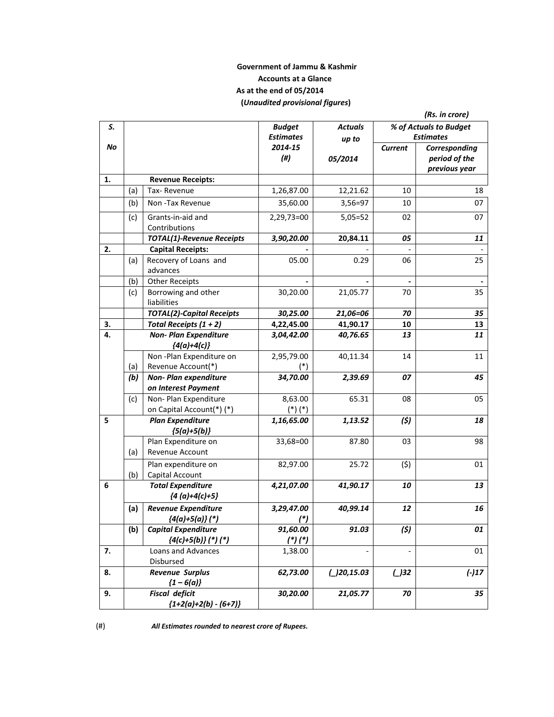## **Government of Jammu & Kashmir Accounts at a Glance As at the end of 05/2014 (***Unaudited provisional figures***)**

|    |     |                                                     |                                   |                         |                | (Rs. in crore)                                  |
|----|-----|-----------------------------------------------------|-----------------------------------|-------------------------|----------------|-------------------------------------------------|
| S. |     |                                                     | <b>Budget</b><br><b>Estimates</b> | <b>Actuals</b><br>up to |                | % of Actuals to Budget<br><b>Estimates</b>      |
| No |     |                                                     | 2014-15<br>(# <sup>)</sup>        | 05/2014                 | <b>Current</b> | Corresponding<br>period of the<br>previous year |
| 1. |     | <b>Revenue Receipts:</b>                            |                                   |                         |                |                                                 |
|    | (a) | Tax-Revenue                                         | 1,26,87.00                        | 12,21.62                | 10             | 18                                              |
|    | (b) | Non-Tax Revenue                                     | 35,60.00                          | 3,56=97                 | 10             | 07                                              |
|    | (c) | Grants-in-aid and<br>Contributions                  | 2,29,73=00                        | $5,05=52$               | 02             | 07                                              |
|    |     | <b>TOTAL(1)-Revenue Receipts</b>                    | 3,90,20.00                        | 20,84.11                | 05             | 11                                              |
| 2. |     | <b>Capital Receipts:</b>                            |                                   |                         |                |                                                 |
|    | (a) | Recovery of Loans and<br>advances                   | 05.00                             | 0.29                    | 06             | 25                                              |
|    | (b) | <b>Other Receipts</b>                               |                                   |                         |                | 35                                              |
|    | (c) | Borrowing and other<br>liabilities                  | 30,20.00                          | 21,05.77                | 70             |                                                 |
|    |     | <b>TOTAL(2)-Capital Receipts</b>                    | 30,25.00                          | 21,06=06                | 70             | 35                                              |
| 3. |     | Total Receipts $(1 + 2)$                            | 4,22,45.00                        | 41,90.17                | 10             | 13                                              |
| 4. |     | <b>Non- Plan Expenditure</b><br>${4(a)+4(c)}$       | 3,04,42.00                        | 40,76.65                | 13             | 11                                              |
|    |     | Non-Plan Expenditure on                             | 2,95,79.00                        | 40,11.34                | 14             | 11                                              |
|    | (a) | Revenue Account(*)                                  | $(*)$                             |                         |                |                                                 |
|    | (b) | Non-Plan expenditure<br>on Interest Payment         | 34,70.00                          | 2,39.69                 | 07             | 45                                              |
|    | (c) | Non-Plan Expenditure                                | 8,63.00                           | 65.31                   | 08             | 05                                              |
|    |     | on Capital Account(*) (*)                           | $(*)$ $(*)$                       |                         |                |                                                 |
| 5  |     | <b>Plan Expenditure</b><br>${5(a)+5(b)}$            | 1,16,65.00                        | 1,13.52                 | (5)            | 18                                              |
|    | (a) | Plan Expenditure on<br><b>Revenue Account</b>       | 33,68=00                          | 87.80                   | 03             | 98                                              |
|    | (b) | Plan expenditure on<br>Capital Account              | 82,97.00                          | 25.72                   | (5)            | 01                                              |
| 6  |     | <b>Total Expenditure</b><br>${4(a)+4(c)+5}$         | 4,21,07.00                        | 41,90.17                | 10             | 13                                              |
|    | (a) | <b>Revenue Expenditure</b><br>${4(a)+5(a)}$ (*)     | 3,29,47.00<br>$(*)$               | 40,99.14                | 12             | 16                                              |
|    | (b) | <b>Capital Expenditure</b><br>$(4(c)+5(b))$ (*) (*) | 91,60.00<br>$(*)$ (*)             | 91.03                   | (5)            | 01                                              |
| 7. |     | Loans and Advances<br>Disbursed                     | 1,38.00                           |                         |                | 01                                              |
| 8. |     | <b>Revenue Surplus</b><br>${1-6(a)}$                | 62,73.00                          | $\angle$ )20,15.03      | $\bigcup$ 32   | $(-)17$                                         |
| 9. |     | <b>Fiscal deficit</b><br>${1+2(a)+2(b) - (6+7)}$    | 30,20.00                          | 21,05.77                | 70             | 35                                              |

(#)*All Estimates rounded to nearest crore of Rupees.*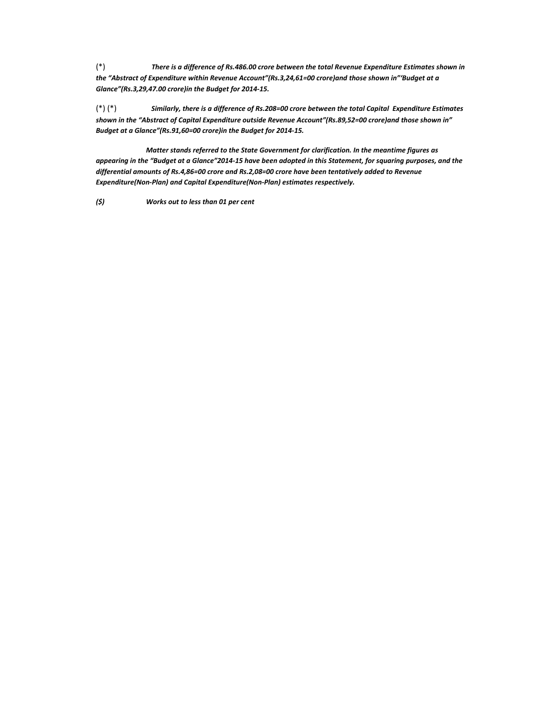(\*)*There is a difference of Rs.486.00 crore between the total Revenue Expenditure Estimates shown in the "Abstract of Expenditure within Revenue Account"(Rs.3,24,61=00 crore)and those shown in"'Budget at a Glance"(Rs.3,29,47.00 crore)in the Budget for 2014Ͳ15.*

(\*) (\*)*Similarly, there is a difference of Rs.208=00 crore between the total CapitalExpenditure Estimates shown in the "Abstract of Capital Expenditure outside Revenue Account"(Rs.89,52=00 crore)and those shown in" Budget at a Glance"(Rs.91,60=00 crore)in the Budget for 2014Ͳ15.*

*Matter stands referred to the State Government for clarification. In the meantime figures as* appearing in the "Budget at a Glance"2014-15 have been adopted in this Statement, for squaring purposes, and the *differential amounts of Rs.4,86=00 crore and Rs.2,08=00 crore have been tentatively added to Revenue Expenditure(NonͲPlan) and Capital Expenditure(NonͲPlan) estimates respectively.*

*(\$)Works out to less than 01 per cent*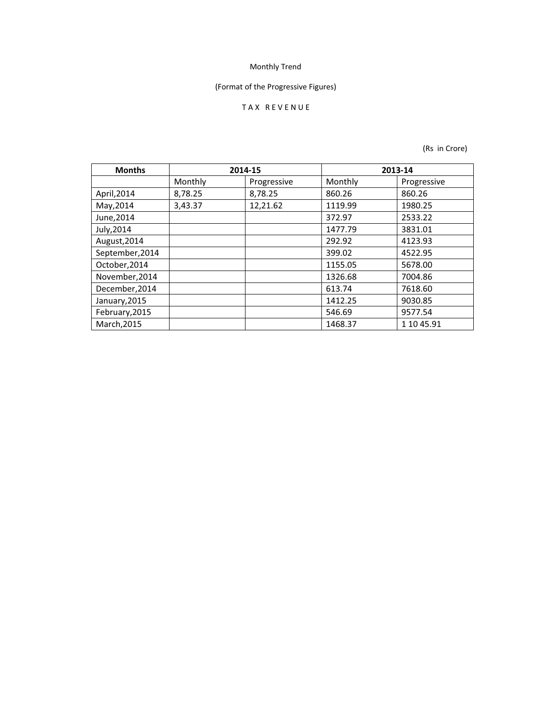## (Format of the Progressive Figures)

## TAX REVENUE

| <b>Months</b>   |         | 2014-15     | 2013-14 |             |
|-----------------|---------|-------------|---------|-------------|
|                 | Monthly | Progressive | Monthly | Progressive |
| April, 2014     | 8,78.25 | 8,78.25     | 860.26  | 860.26      |
| May, 2014       | 3,43.37 | 12,21.62    | 1119.99 | 1980.25     |
| June, 2014      |         |             | 372.97  | 2533.22     |
| July, 2014      |         |             | 1477.79 | 3831.01     |
| August, 2014    |         |             | 292.92  | 4123.93     |
| September, 2014 |         |             | 399.02  | 4522.95     |
| October, 2014   |         |             | 1155.05 | 5678.00     |
| November, 2014  |         |             | 1326.68 | 7004.86     |
| December, 2014  |         |             | 613.74  | 7618.60     |
| January, 2015   |         |             | 1412.25 | 9030.85     |
| February, 2015  |         |             | 546.69  | 9577.54     |
| March, 2015     |         |             | 1468.37 | 1 10 45.91  |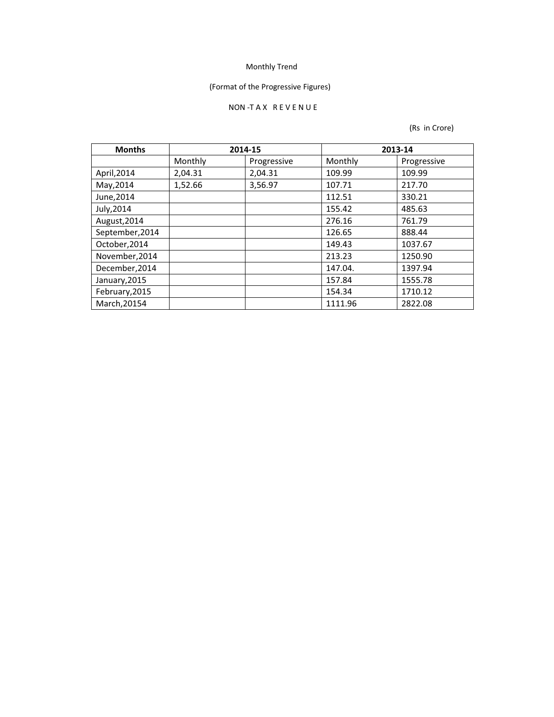## (Format of the Progressive Figures)

### NON-TAX REVENUE

| <b>Months</b>   |         | 2014-15     |         | 2013-14     |
|-----------------|---------|-------------|---------|-------------|
|                 | Monthly | Progressive | Monthly | Progressive |
| April, 2014     | 2,04.31 | 2,04.31     | 109.99  | 109.99      |
| May, 2014       | 1,52.66 | 3,56.97     | 107.71  | 217.70      |
| June, 2014      |         |             | 112.51  | 330.21      |
| July, 2014      |         |             | 155.42  | 485.63      |
| August, 2014    |         |             | 276.16  | 761.79      |
| September, 2014 |         |             | 126.65  | 888.44      |
| October, 2014   |         |             | 149.43  | 1037.67     |
| November, 2014  |         |             | 213.23  | 1250.90     |
| December, 2014  |         |             | 147.04. | 1397.94     |
| January, 2015   |         |             | 157.84  | 1555.78     |
| February, 2015  |         |             | 154.34  | 1710.12     |
| March, 20154    |         |             | 1111.96 | 2822.08     |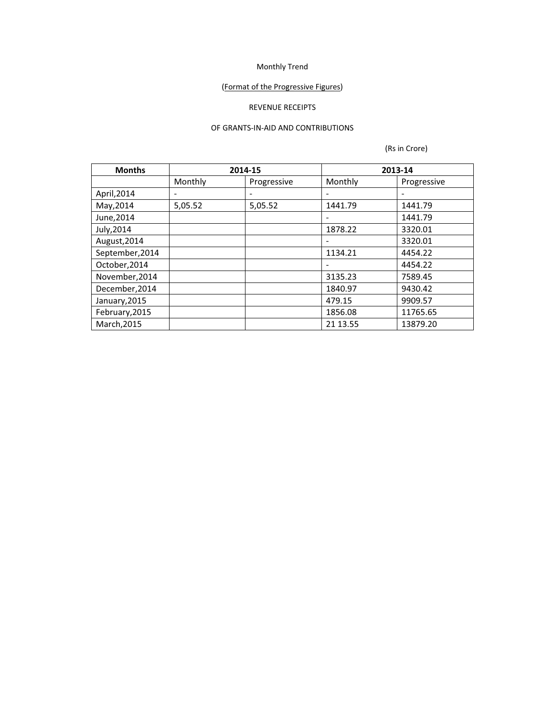## (Format of the Progressive Figures)

## REVENUE RECEIPTS

### OF GRANTS-IN-AID AND CONTRIBUTIONS

| <b>Months</b>   |                          | 2014-15     | 2013-14                  |             |
|-----------------|--------------------------|-------------|--------------------------|-------------|
|                 | Monthly                  | Progressive | Monthly                  | Progressive |
| April, 2014     | $\overline{\phantom{a}}$ |             |                          |             |
| May, 2014       | 5,05.52                  | 5,05.52     | 1441.79                  | 1441.79     |
| June, 2014      |                          |             | $\overline{\phantom{a}}$ | 1441.79     |
| July, 2014      |                          |             | 1878.22                  | 3320.01     |
| August, 2014    |                          |             |                          | 3320.01     |
| September, 2014 |                          |             | 1134.21                  | 4454.22     |
| October, 2014   |                          |             | -                        | 4454.22     |
| November, 2014  |                          |             | 3135.23                  | 7589.45     |
| December, 2014  |                          |             | 1840.97                  | 9430.42     |
| January, 2015   |                          |             | 479.15                   | 9909.57     |
| February, 2015  |                          |             | 1856.08                  | 11765.65    |
| March, 2015     |                          |             | 21 13.55                 | 13879.20    |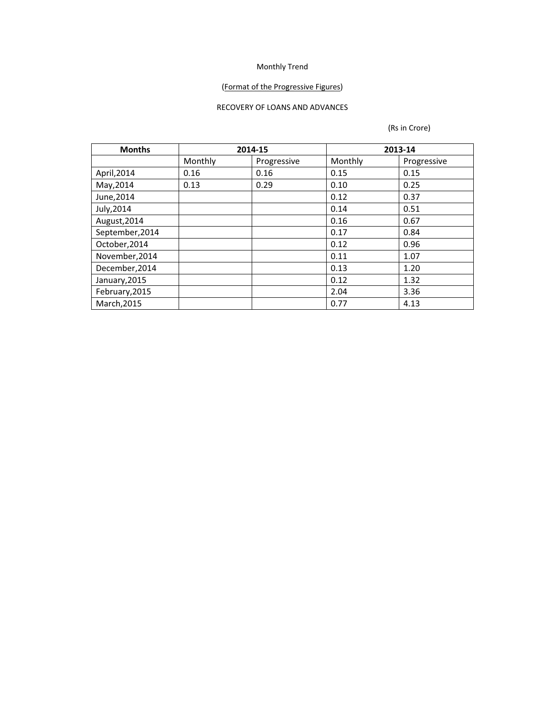## (Format of the Progressive Figures)

#### RECOVERY OF LOANS AND ADVANCES

| <b>Months</b><br>2014-15 |         |             | 2013-14 |             |  |
|--------------------------|---------|-------------|---------|-------------|--|
|                          | Monthly | Progressive | Monthly | Progressive |  |
| April, 2014              | 0.16    | 0.16        | 0.15    | 0.15        |  |
| May, 2014                | 0.13    | 0.29        | 0.10    | 0.25        |  |
| June, 2014               |         |             | 0.12    | 0.37        |  |
| July, 2014               |         |             | 0.14    | 0.51        |  |
| August, 2014             |         |             | 0.16    | 0.67        |  |
| September, 2014          |         |             | 0.17    | 0.84        |  |
| October, 2014            |         |             | 0.12    | 0.96        |  |
| November, 2014           |         |             | 0.11    | 1.07        |  |
| December, 2014           |         |             | 0.13    | 1.20        |  |
| January, 2015            |         |             | 0.12    | 1.32        |  |
| February, 2015           |         |             | 2.04    | 3.36        |  |
| March, 2015              |         |             | 0.77    | 4.13        |  |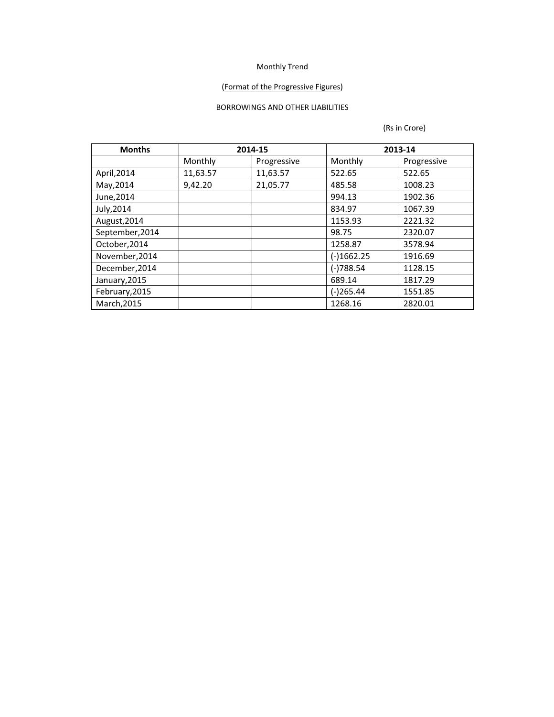## (Format of the Progressive Figures)

## BORROWINGS AND OTHER LIABILITIES

| <b>Months</b>   |          | 2014-15     | 2013-14    |             |
|-----------------|----------|-------------|------------|-------------|
|                 | Monthly  | Progressive | Monthly    | Progressive |
| April, 2014     | 11,63.57 | 11,63.57    | 522.65     | 522.65      |
| May, 2014       | 9,42.20  | 21,05.77    | 485.58     | 1008.23     |
| June, 2014      |          |             | 994.13     | 1902.36     |
| July, 2014      |          |             | 834.97     | 1067.39     |
| August, 2014    |          |             | 1153.93    | 2221.32     |
| September, 2014 |          |             | 98.75      | 2320.07     |
| October, 2014   |          |             | 1258.87    | 3578.94     |
| November, 2014  |          |             | (-)1662.25 | 1916.69     |
| December, 2014  |          |             | (-)788.54  | 1128.15     |
| January, 2015   |          |             | 689.14     | 1817.29     |
| February, 2015  |          |             | (-)265.44  | 1551.85     |
| March, 2015     |          |             | 1268.16    | 2820.01     |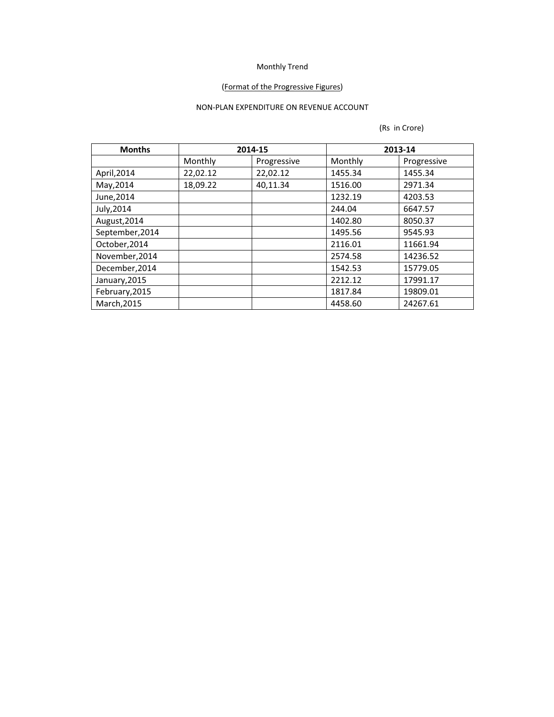## (Format of the Progressive Figures)

## NON-PLAN EXPENDITURE ON REVENUE ACCOUNT

| <b>Months</b>   | 2014-15  |             | 2013-14 |             |
|-----------------|----------|-------------|---------|-------------|
|                 | Monthly  | Progressive | Monthly | Progressive |
| April, 2014     | 22,02.12 | 22,02.12    | 1455.34 | 1455.34     |
| May, 2014       | 18,09.22 | 40,11.34    | 1516.00 | 2971.34     |
| June, 2014      |          |             | 1232.19 | 4203.53     |
| July, 2014      |          |             | 244.04  | 6647.57     |
| August, 2014    |          |             | 1402.80 | 8050.37     |
| September, 2014 |          |             | 1495.56 | 9545.93     |
| October, 2014   |          |             | 2116.01 | 11661.94    |
| November, 2014  |          |             | 2574.58 | 14236.52    |
| December, 2014  |          |             | 1542.53 | 15779.05    |
| January, 2015   |          |             | 2212.12 | 17991.17    |
| February, 2015  |          |             | 1817.84 | 19809.01    |
| March, 2015     |          |             | 4458.60 | 24267.61    |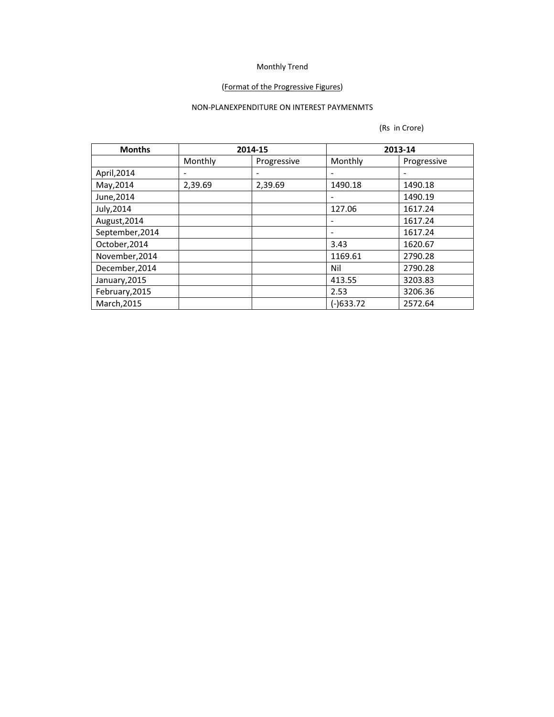### (Format of the Progressive Figures)

## NON-PLANEXPENDITURE ON INTEREST PAYMENMTS

| <b>Months</b>   |         | 2014-15     | 2013-14                  |             |
|-----------------|---------|-------------|--------------------------|-------------|
|                 | Monthly | Progressive | Monthly                  | Progressive |
| April, 2014     | -       | -           |                          |             |
| May, 2014       | 2,39.69 | 2,39.69     | 1490.18                  | 1490.18     |
| June, 2014      |         |             |                          | 1490.19     |
| July, 2014      |         |             | 127.06                   | 1617.24     |
| August, 2014    |         |             |                          | 1617.24     |
| September, 2014 |         |             | $\overline{\phantom{0}}$ | 1617.24     |
| October, 2014   |         |             | 3.43                     | 1620.67     |
| November, 2014  |         |             | 1169.61                  | 2790.28     |
| December, 2014  |         |             | Nil                      | 2790.28     |
| January, 2015   |         |             | 413.55                   | 3203.83     |
| February, 2015  |         |             | 2.53                     | 3206.36     |
| March, 2015     |         |             | $(-)633.72$              | 2572.64     |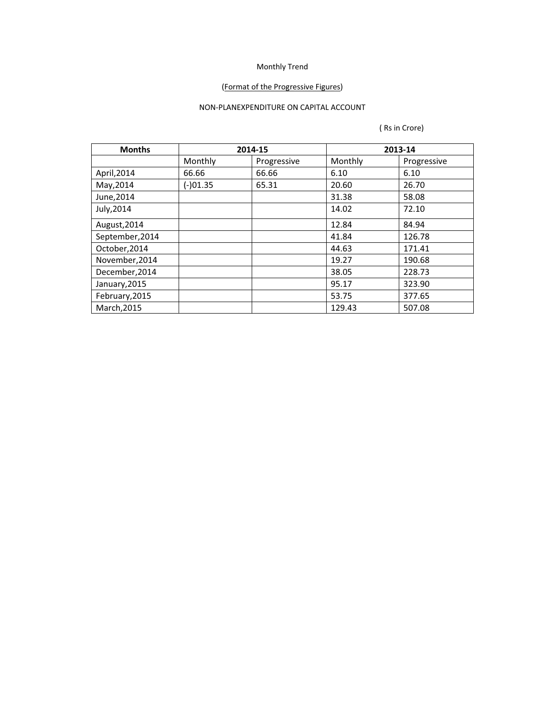## (Format of the Progressive Figures)

## NON-PLANEXPENDITURE ON CAPITAL ACCOUNT

| <b>Months</b>   |            | 2014-15     | 2013-14 |             |
|-----------------|------------|-------------|---------|-------------|
|                 | Monthly    | Progressive | Monthly | Progressive |
| April, 2014     | 66.66      | 66.66       | 6.10    | 6.10        |
| May, 2014       | $(-)01.35$ | 65.31       | 20.60   | 26.70       |
| June, 2014      |            |             | 31.38   | 58.08       |
| July, 2014      |            |             | 14.02   | 72.10       |
| August, 2014    |            |             | 12.84   | 84.94       |
| September, 2014 |            |             | 41.84   | 126.78      |
| October, 2014   |            |             | 44.63   | 171.41      |
| November, 2014  |            |             | 19.27   | 190.68      |
| December, 2014  |            |             | 38.05   | 228.73      |
| January, 2015   |            |             | 95.17   | 323.90      |
| February, 2015  |            |             | 53.75   | 377.65      |
| March, 2015     |            |             | 129.43  | 507.08      |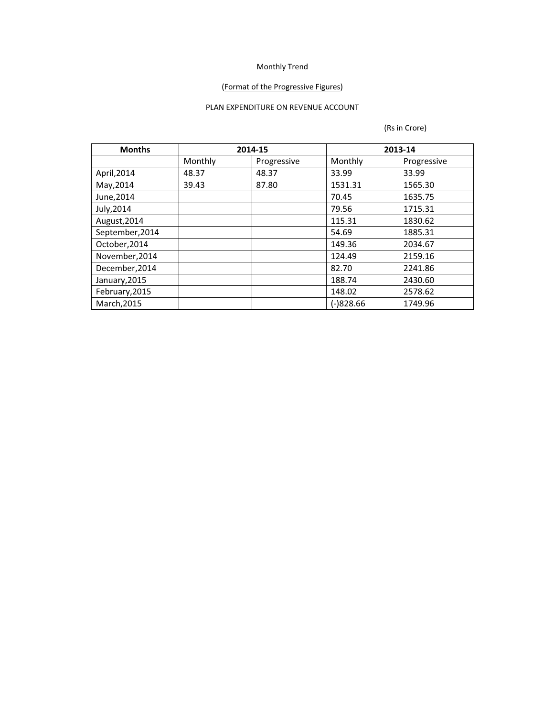## (Format of the Progressive Figures)

## PLAN EXPENDITURE ON REVENUE ACCOUNT

| <b>Months</b>   | 2014-15 |             | 2013-14     |             |
|-----------------|---------|-------------|-------------|-------------|
|                 | Monthly | Progressive | Monthly     | Progressive |
| April, 2014     | 48.37   | 48.37       | 33.99       | 33.99       |
| May, 2014       | 39.43   | 87.80       | 1531.31     | 1565.30     |
| June, 2014      |         |             | 70.45       | 1635.75     |
| July, 2014      |         |             | 79.56       | 1715.31     |
| August, 2014    |         |             | 115.31      | 1830.62     |
| September, 2014 |         |             | 54.69       | 1885.31     |
| October, 2014   |         |             | 149.36      | 2034.67     |
| November, 2014  |         |             | 124.49      | 2159.16     |
| December, 2014  |         |             | 82.70       | 2241.86     |
| January, 2015   |         |             | 188.74      | 2430.60     |
| February, 2015  |         |             | 148.02      | 2578.62     |
| March, 2015     |         |             | $(-)828.66$ | 1749.96     |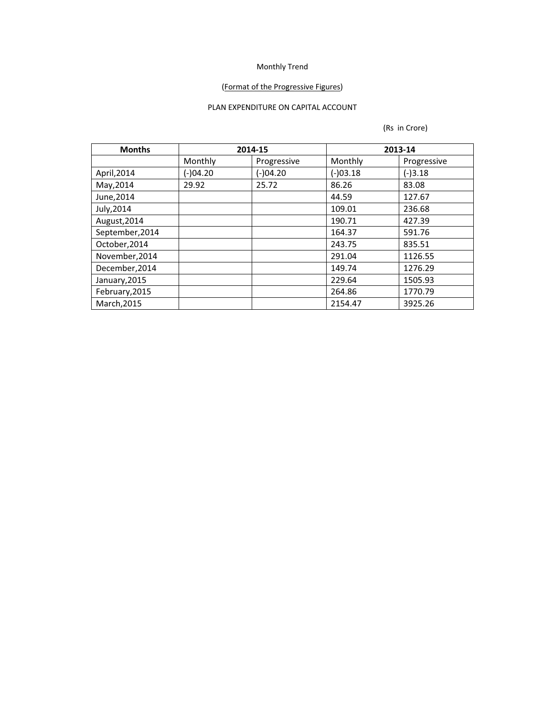## (Format of the Progressive Figures)

## PLAN EXPENDITURE ON CAPITAL ACCOUNT

| <b>Months</b>   | 2014-15    |             | 2013-14  |             |
|-----------------|------------|-------------|----------|-------------|
|                 | Monthly    | Progressive | Monthly  | Progressive |
| April, 2014     | $(-)04.20$ | (-)04.20    | (-)03.18 | $(-)3.18$   |
| May, 2014       | 29.92      | 25.72       | 86.26    | 83.08       |
| June, 2014      |            |             | 44.59    | 127.67      |
| July, 2014      |            |             | 109.01   | 236.68      |
| August, 2014    |            |             | 190.71   | 427.39      |
| September, 2014 |            |             | 164.37   | 591.76      |
| October, 2014   |            |             | 243.75   | 835.51      |
| November, 2014  |            |             | 291.04   | 1126.55     |
| December, 2014  |            |             | 149.74   | 1276.29     |
| January, 2015   |            |             | 229.64   | 1505.93     |
| February, 2015  |            |             | 264.86   | 1770.79     |
| March, 2015     |            |             | 2154.47  | 3925.26     |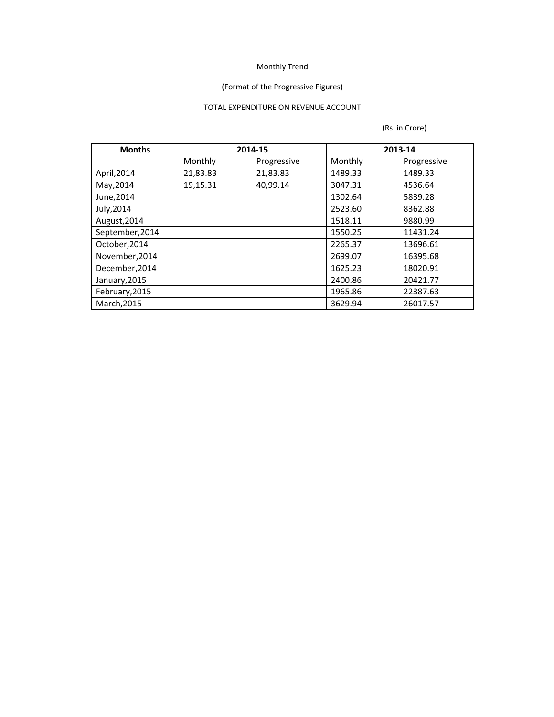## (Format of the Progressive Figures)

## TOTAL EXPENDITURE ON REVENUE ACCOUNT

| <b>Months</b>   |          | 2014-15     | 2013-14 |             |
|-----------------|----------|-------------|---------|-------------|
|                 | Monthly  | Progressive | Monthly | Progressive |
| April, 2014     | 21,83.83 | 21,83.83    | 1489.33 | 1489.33     |
| May, 2014       | 19,15.31 | 40,99.14    | 3047.31 | 4536.64     |
| June, 2014      |          |             | 1302.64 | 5839.28     |
| July, 2014      |          |             | 2523.60 | 8362.88     |
| August, 2014    |          |             | 1518.11 | 9880.99     |
| September, 2014 |          |             | 1550.25 | 11431.24    |
| October, 2014   |          |             | 2265.37 | 13696.61    |
| November, 2014  |          |             | 2699.07 | 16395.68    |
| December, 2014  |          |             | 1625.23 | 18020.91    |
| January, 2015   |          |             | 2400.86 | 20421.77    |
| February, 2015  |          |             | 1965.86 | 22387.63    |
| March, 2015     |          |             | 3629.94 | 26017.57    |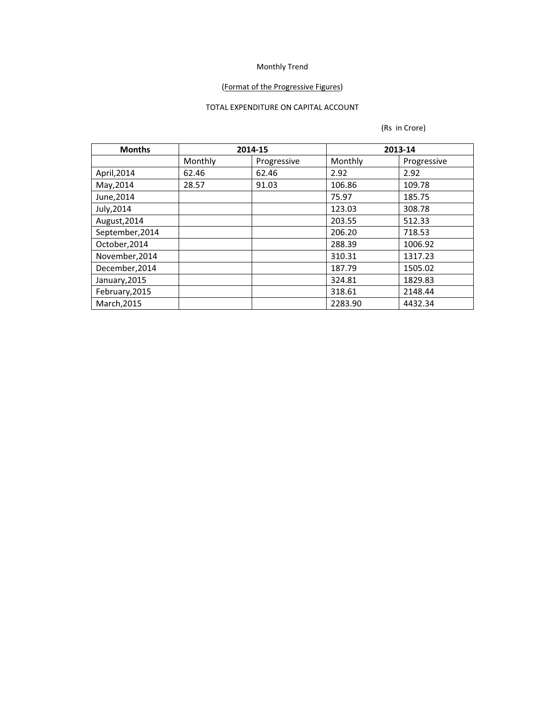## (Format of the Progressive Figures)

## TOTAL EXPENDITURE ON CAPITAL ACCOUNT

| <b>Months</b>   | 2014-15 |             | 2013-14           |             |
|-----------------|---------|-------------|-------------------|-------------|
|                 | Monthly | Progressive | Monthly           | Progressive |
| April, 2014     | 62.46   | 62.46       | 2.92              | 2.92        |
| May, 2014       | 28.57   | 91.03       | 106.86            | 109.78      |
| June, 2014      |         |             | 75.97             | 185.75      |
| July, 2014      |         |             | 123.03            | 308.78      |
| August, 2014    |         |             | 203.55            | 512.33      |
| September, 2014 |         |             | 206.20            | 718.53      |
| October, 2014   |         |             | 288.39<br>1006.92 |             |
| November, 2014  |         |             | 310.31            | 1317.23     |
| December, 2014  |         |             | 187.79            | 1505.02     |
| January, 2015   |         |             | 324.81            | 1829.83     |
| February, 2015  |         |             | 318.61            | 2148.44     |
| March, 2015     |         |             | 2283.90           | 4432.34     |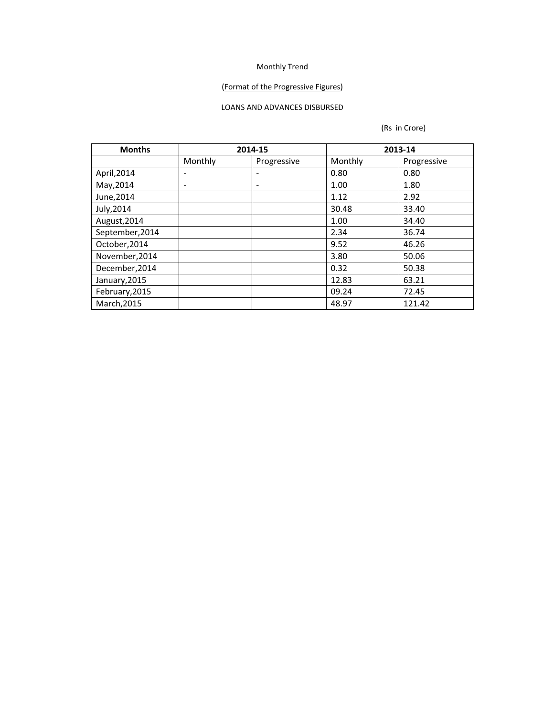### (Format of the Progressive Figures)

## LOANS AND ADVANCES DISBURSED

| <b>Months</b>   | 2014-15                  |                          |         | 2013-14     |  |  |
|-----------------|--------------------------|--------------------------|---------|-------------|--|--|
|                 | Monthly                  | Progressive              | Monthly | Progressive |  |  |
| April, 2014     | -                        | $\overline{\phantom{a}}$ | 0.80    | 0.80        |  |  |
| May, 2014       | $\overline{\phantom{0}}$ | $\overline{\phantom{a}}$ | 1.00    | 1.80        |  |  |
| June, 2014      |                          |                          | 1.12    | 2.92        |  |  |
| July, 2014      |                          |                          | 30.48   | 33.40       |  |  |
| August, 2014    |                          |                          | 1.00    | 34.40       |  |  |
| September, 2014 |                          |                          | 2.34    | 36.74       |  |  |
| October, 2014   |                          |                          | 9.52    | 46.26       |  |  |
| November, 2014  |                          |                          | 3.80    | 50.06       |  |  |
| December, 2014  |                          |                          | 0.32    | 50.38       |  |  |
| January, 2015   |                          |                          | 12.83   | 63.21       |  |  |
| February, 2015  |                          |                          | 09.24   | 72.45       |  |  |
| March, 2015     |                          |                          | 48.97   | 121.42      |  |  |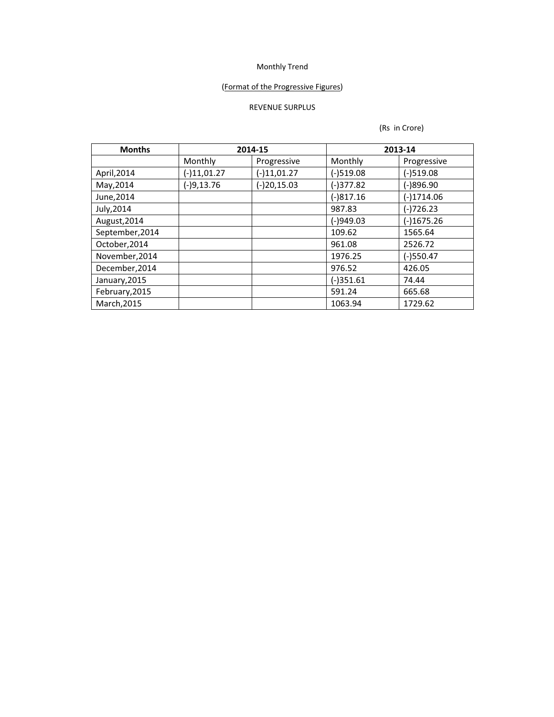### (Format of the Progressive Figures)

## REVENUE SURPLUS

| <b>Months</b>   | 2014-15       |               | 2013-14     |              |  |
|-----------------|---------------|---------------|-------------|--------------|--|
|                 | Monthly       | Progressive   | Monthly     | Progressive  |  |
| April, 2014     | $(-)11,01.27$ | $(-)11,01.27$ | $(-)519.08$ | (-)519.08    |  |
| May, 2014       | $(-)9,13.76$  | $(-)20,15.03$ | $(-)377.82$ | $(-)896.90$  |  |
| June, 2014      |               |               | $(-)817.16$ | $(-)1714.06$ |  |
| July, 2014      |               |               | 987.83      | $(-)726.23$  |  |
| August, 2014    |               |               | $(-)949.03$ | $(-)1675.26$ |  |
| September, 2014 |               |               | 109.62      | 1565.64      |  |
| October, 2014   |               |               | 961.08      | 2526.72      |  |
| November, 2014  |               |               | 1976.25     | $(-)550.47$  |  |
| December, 2014  |               |               | 976.52      | 426.05       |  |
| January, 2015   |               |               | $(-)351.61$ | 74.44        |  |
| February, 2015  |               |               | 591.24      | 665.68       |  |
| March, 2015     |               |               | 1063.94     | 1729.62      |  |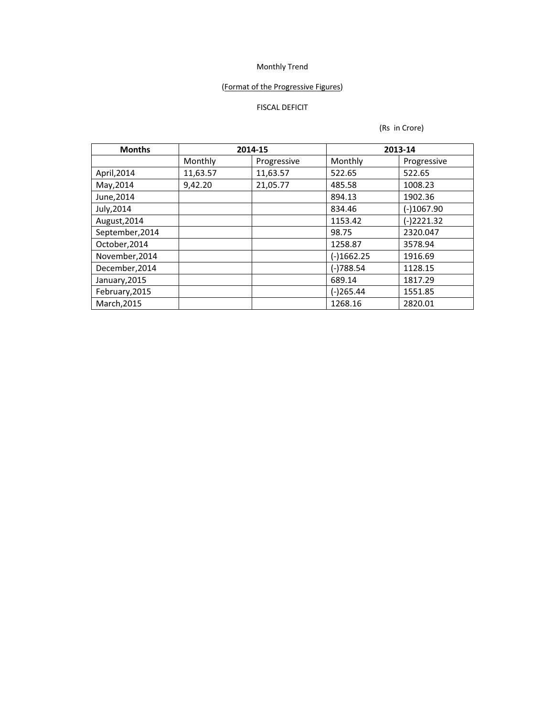## (Format of the Progressive Figures)

## FISCAL DEFICIT

| <b>Months</b>   | 2014-15  |             | 2013-14      |              |  |
|-----------------|----------|-------------|--------------|--------------|--|
|                 | Monthly  | Progressive | Monthly      | Progressive  |  |
| April, 2014     | 11,63.57 | 11,63.57    | 522.65       | 522.65       |  |
| May, 2014       | 9,42.20  | 21,05.77    | 485.58       | 1008.23      |  |
| June, 2014      |          |             | 894.13       | 1902.36      |  |
| July, 2014      |          |             | 834.46       | $(-)1067.90$ |  |
| August, 2014    |          |             | 1153.42      | $(-)2221.32$ |  |
| September, 2014 |          |             | 98.75        | 2320.047     |  |
| October, 2014   |          |             | 1258.87      | 3578.94      |  |
| November, 2014  |          |             | $(-)1662.25$ | 1916.69      |  |
| December, 2014  |          |             | $(-)788.54$  | 1128.15      |  |
| January, 2015   |          |             | 689.14       | 1817.29      |  |
| February, 2015  |          |             | (-)265.44    | 1551.85      |  |
| March, 2015     |          |             | 1268.16      | 2820.01      |  |